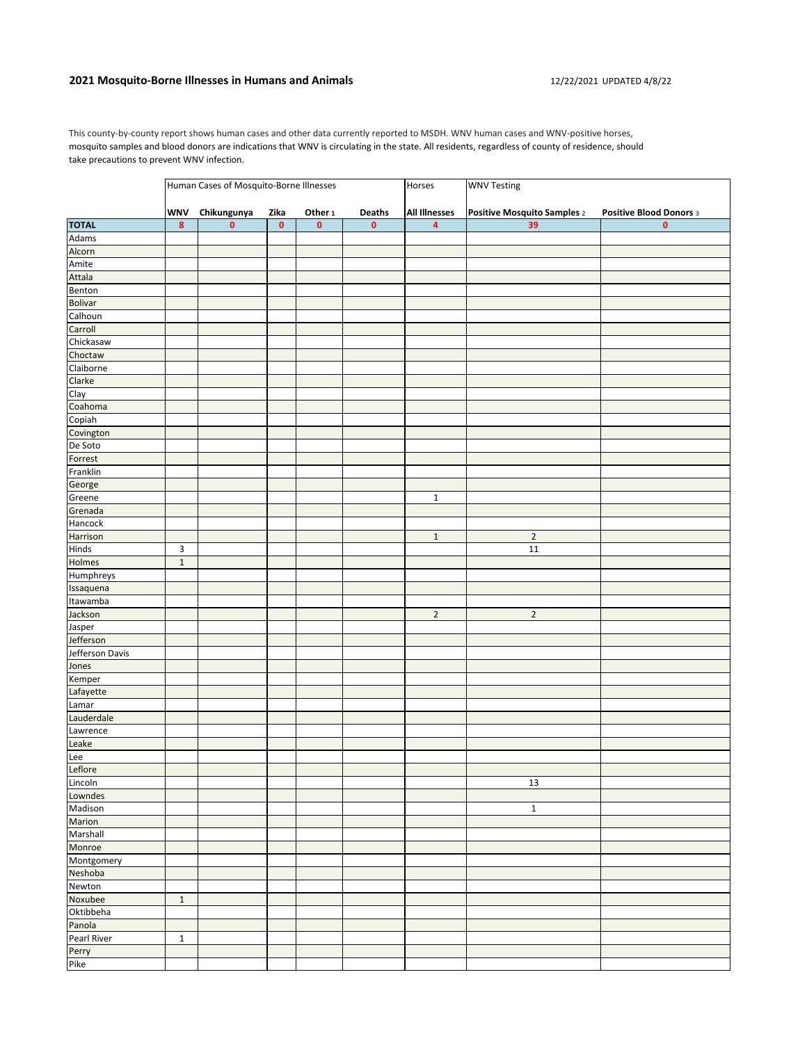## **2021 Mosquito-Borne Illnesses in Humans and Animals** 12/22/2021 UPDATED 4/8/22

This county-by-county report shows human cases and other data currently reported to MSDH. WNV human cases and WNV-positive horses, mosquito samples and blood donors are indications that WNV is circulating in the state. All residents, regardless of county of residence, should take precautions to prevent WNV infection.

|                 | Human Cases of Mosquito-Borne Illnesses |             |           |                    |           | Horses                  | <b>WNV Testing</b>          |                         |  |
|-----------------|-----------------------------------------|-------------|-----------|--------------------|-----------|-------------------------|-----------------------------|-------------------------|--|
|                 | <b>WNV</b>                              | Chikungunya | Zika      | Other <sub>1</sub> | Deaths    | <b>All Illnesses</b>    | Positive Mosquito Samples 2 | Positive Blood Donors 3 |  |
| <b>TOTAL</b>    | 8                                       | $\pmb{0}$   | $\pmb{0}$ | $\pmb{0}$          | $\pmb{0}$ | $\overline{\mathbf{4}}$ | 39                          | $\mathbf 0$             |  |
| Adams           |                                         |             |           |                    |           |                         |                             |                         |  |
| Alcorn          |                                         |             |           |                    |           |                         |                             |                         |  |
| Amite           |                                         |             |           |                    |           |                         |                             |                         |  |
| Attala          |                                         |             |           |                    |           |                         |                             |                         |  |
| Benton          |                                         |             |           |                    |           |                         |                             |                         |  |
| Bolivar         |                                         |             |           |                    |           |                         |                             |                         |  |
| Calhoun         |                                         |             |           |                    |           |                         |                             |                         |  |
| Carroll         |                                         |             |           |                    |           |                         |                             |                         |  |
| Chickasaw       |                                         |             |           |                    |           |                         |                             |                         |  |
| Choctaw         |                                         |             |           |                    |           |                         |                             |                         |  |
| Claiborne       |                                         |             |           |                    |           |                         |                             |                         |  |
| Clarke          |                                         |             |           |                    |           |                         |                             |                         |  |
| Clay            |                                         |             |           |                    |           |                         |                             |                         |  |
| Coahoma         |                                         |             |           |                    |           |                         |                             |                         |  |
| Copiah          |                                         |             |           |                    |           |                         |                             |                         |  |
| Covington       |                                         |             |           |                    |           |                         |                             |                         |  |
| De Soto         |                                         |             |           |                    |           |                         |                             |                         |  |
| Forrest         |                                         |             |           |                    |           |                         |                             |                         |  |
| Franklin        |                                         |             |           |                    |           |                         |                             |                         |  |
| George          |                                         |             |           |                    |           |                         |                             |                         |  |
| Greene          |                                         |             |           |                    |           | $\mathbf 1$             |                             |                         |  |
| Grenada         |                                         |             |           |                    |           |                         |                             |                         |  |
| Hancock         |                                         |             |           |                    |           |                         |                             |                         |  |
| Harrison        |                                         |             |           |                    |           | $\mathbf 1$             | $\sqrt{2}$                  |                         |  |
| Hinds           | 3                                       |             |           |                    |           |                         | 11                          |                         |  |
| Holmes          | $\mathbf 1$                             |             |           |                    |           |                         |                             |                         |  |
| Humphreys       |                                         |             |           |                    |           |                         |                             |                         |  |
| Issaquena       |                                         |             |           |                    |           |                         |                             |                         |  |
| Itawamba        |                                         |             |           |                    |           |                         |                             |                         |  |
| Jackson         |                                         |             |           |                    |           | $\mathbf 2$             | $\mathbf 2$                 |                         |  |
| Jasper          |                                         |             |           |                    |           |                         |                             |                         |  |
| Jefferson       |                                         |             |           |                    |           |                         |                             |                         |  |
| Jefferson Davis |                                         |             |           |                    |           |                         |                             |                         |  |
| Jones           |                                         |             |           |                    |           |                         |                             |                         |  |
| Kemper          |                                         |             |           |                    |           |                         |                             |                         |  |
| Lafayette       |                                         |             |           |                    |           |                         |                             |                         |  |
| Lamar           |                                         |             |           |                    |           |                         |                             |                         |  |
| Lauderdale      |                                         |             |           |                    |           |                         |                             |                         |  |
| Lawrence        |                                         |             |           |                    |           |                         |                             |                         |  |
| Leake           |                                         |             |           |                    |           |                         |                             |                         |  |
| Lee             |                                         |             |           |                    |           |                         |                             |                         |  |
| Leflore         |                                         |             |           |                    |           |                         |                             |                         |  |
| Lincoln         |                                         |             |           |                    |           |                         | 13                          |                         |  |
| Lowndes         |                                         |             |           |                    |           |                         |                             |                         |  |
| Madison         |                                         |             |           |                    |           |                         | $\mathbf 1$                 |                         |  |
| Marion          |                                         |             |           |                    |           |                         |                             |                         |  |
| Marshall        |                                         |             |           |                    |           |                         |                             |                         |  |
| Monroe          |                                         |             |           |                    |           |                         |                             |                         |  |
| Montgomery      |                                         |             |           |                    |           |                         |                             |                         |  |
| Neshoba         |                                         |             |           |                    |           |                         |                             |                         |  |
| Newton          |                                         |             |           |                    |           |                         |                             |                         |  |
| Noxubee         | $\mathbf 1$                             |             |           |                    |           |                         |                             |                         |  |
| Oktibbeha       |                                         |             |           |                    |           |                         |                             |                         |  |
| Panola          |                                         |             |           |                    |           |                         |                             |                         |  |
| Pearl River     | $\mathbf 1$                             |             |           |                    |           |                         |                             |                         |  |
| Perry           |                                         |             |           |                    |           |                         |                             |                         |  |
| Pike            |                                         |             |           |                    |           |                         |                             |                         |  |
|                 |                                         |             |           |                    |           |                         |                             |                         |  |